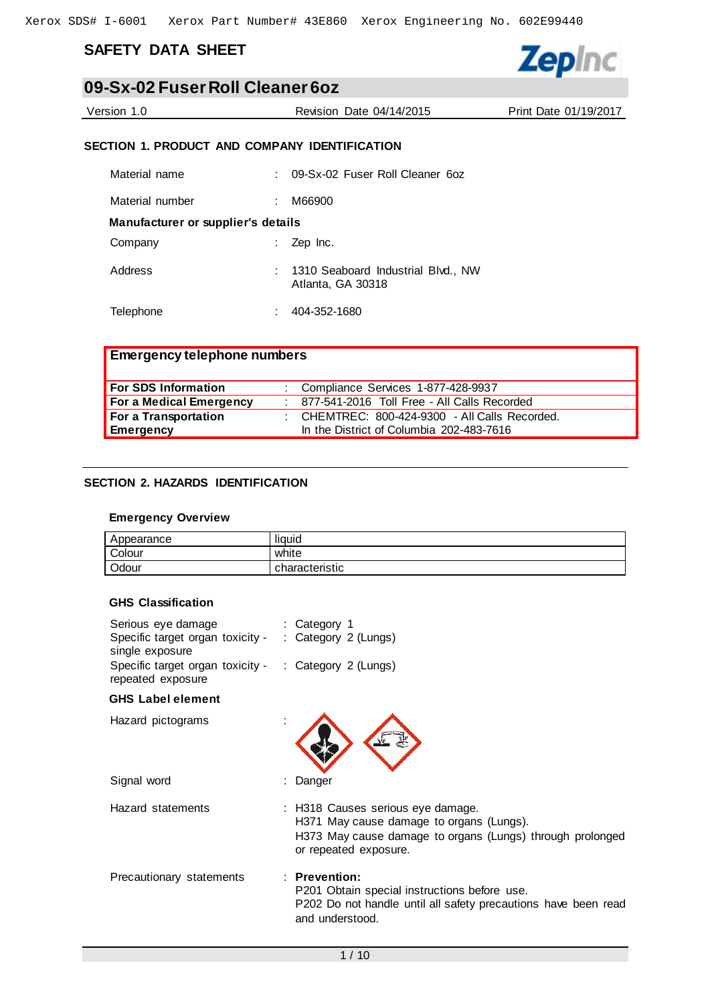# **SAFETY DATA SHEET**

# **09-Sx-02 Fuser Roll Cleaner 6oz**

Version 1.0 Revision Date 04/14/2015 Print Date 01/19/2017

# **SECTION 1. PRODUCT AND COMPANY IDENTIFICATION**

| Material name                      |   | 09-Sx-02 Fuser Roll Cleaner 6oz                           |
|------------------------------------|---|-----------------------------------------------------------|
| Material number                    | ÷ | M66900                                                    |
| Manufacturer or supplier's details |   |                                                           |
| Company                            |   | $:$ Zep Inc.                                              |
| Address                            |   | : 1310 Seaboard Industrial Blvd., NW<br>Atlanta, GA 30318 |
| Telephone                          |   | 404-352-1680                                              |

| <b>Emergency telephone numbers</b> |                                                  |
|------------------------------------|--------------------------------------------------|
| <b>For SDS Information</b>         | : Compliance Services 1-877-428-9937             |
| For a Medical Emergency            | : 877-541-2016 Toll Free - All Calls Recorded    |
| For a Transportation               | : CHEMTREC: $800-424-9300$ - All Calls Recorded. |
| <b>Emergency</b>                   | In the District of Columbia 202-483-7616         |

### **SECTION 2. HAZARDS IDENTIFICATION**

#### **Emergency Overview**

| Appearance | liauid         |
|------------|----------------|
| Colour     | white          |
| Odour      | characteristic |

#### **GHS Classification**

| Serious eye damage<br>Specific target organ toxicity -<br>single exposure | : Category 1<br>: Category $2$ (Lungs)                                                                                                                              |
|---------------------------------------------------------------------------|---------------------------------------------------------------------------------------------------------------------------------------------------------------------|
| Specific target organ toxicity -<br>repeated exposure                     | : Category 2 (Lungs)                                                                                                                                                |
| <b>GHS</b> Label element                                                  |                                                                                                                                                                     |
| Hazard pictograms                                                         |                                                                                                                                                                     |
| Signal word                                                               | : Danger                                                                                                                                                            |
| Hazard statements                                                         | : H318 Causes serious eye damage.<br>H371 May cause damage to organs (Lungs).<br>H373 May cause damage to organs (Lungs) through prolonged<br>or repeated exposure. |
| Precautionary statements                                                  | $:$ Prevention:<br>P201 Obtain special instructions before use.<br>P202 Do not handle until all safety precautions have been read<br>and understood.                |

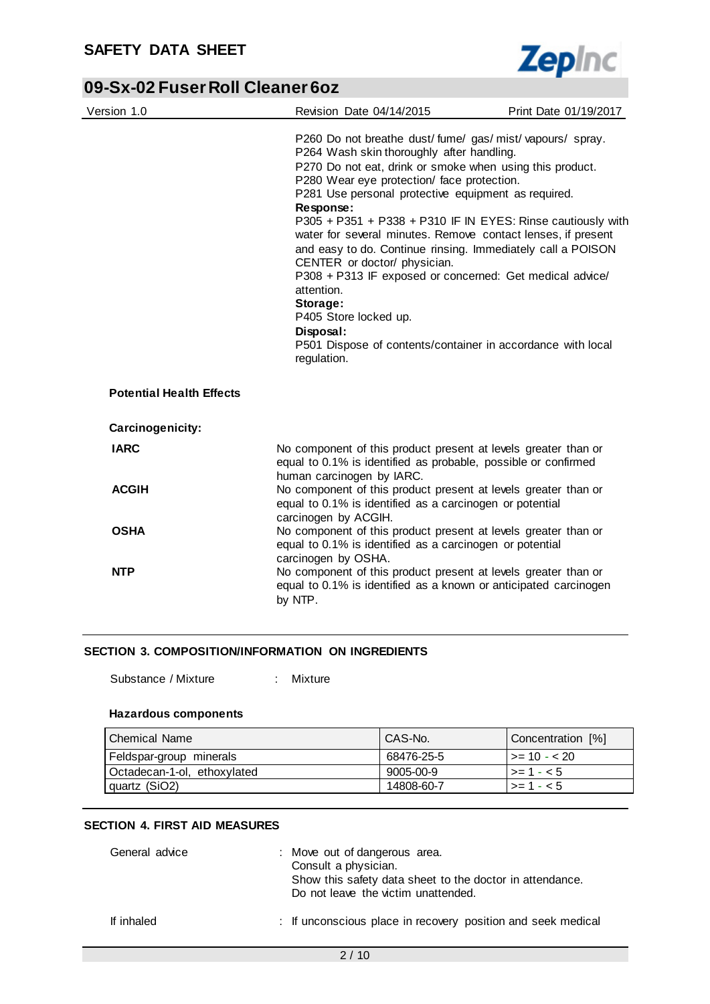

| Version 1.0                     | Revision Date 04/14/2015                                                                                                                                                                                                                                                                                                                                                                                                                                                                                                                                                                                                                                                                                                 | Print Date 01/19/2017 |
|---------------------------------|--------------------------------------------------------------------------------------------------------------------------------------------------------------------------------------------------------------------------------------------------------------------------------------------------------------------------------------------------------------------------------------------------------------------------------------------------------------------------------------------------------------------------------------------------------------------------------------------------------------------------------------------------------------------------------------------------------------------------|-----------------------|
|                                 | P260 Do not breathe dust/fume/gas/mist/vapours/spray.<br>P264 Wash skin thoroughly after handling.<br>P270 Do not eat, drink or smoke when using this product.<br>P280 Wear eye protection/ face protection.<br>P281 Use personal protective equipment as required.<br>Response:<br>P305 + P351 + P338 + P310 IF IN EYES: Rinse cautiously with<br>water for several minutes. Remove contact lenses, if present<br>and easy to do. Continue rinsing. Immediately call a POISON<br>CENTER or doctor/ physician.<br>P308 + P313 IF exposed or concerned: Get medical advice/<br>attention.<br>Storage:<br>P405 Store locked up.<br>Disposal:<br>P501 Dispose of contents/container in accordance with local<br>regulation. |                       |
| <b>Potential Health Effects</b> |                                                                                                                                                                                                                                                                                                                                                                                                                                                                                                                                                                                                                                                                                                                          |                       |
| Carcinogenicity:                |                                                                                                                                                                                                                                                                                                                                                                                                                                                                                                                                                                                                                                                                                                                          |                       |
| <b>IARC</b>                     | No component of this product present at levels greater than or<br>equal to 0.1% is identified as probable, possible or confirmed<br>human carcinogen by IARC.                                                                                                                                                                                                                                                                                                                                                                                                                                                                                                                                                            |                       |
| <b>ACGIH</b>                    | No component of this product present at levels greater than or<br>equal to 0.1% is identified as a carcinogen or potential<br>carcinogen by ACGIH.                                                                                                                                                                                                                                                                                                                                                                                                                                                                                                                                                                       |                       |
| <b>OSHA</b>                     | No component of this product present at levels greater than or<br>equal to 0.1% is identified as a carcinogen or potential<br>carcinogen by OSHA.                                                                                                                                                                                                                                                                                                                                                                                                                                                                                                                                                                        |                       |
| <b>NTP</b>                      | No component of this product present at levels greater than or<br>equal to 0.1% is identified as a known or anticipated carcinogen<br>by NTP.                                                                                                                                                                                                                                                                                                                                                                                                                                                                                                                                                                            |                       |

### **SECTION 3. COMPOSITION/INFORMATION ON INGREDIENTS**

Substance / Mixture : Mixture

### **Hazardous components**

| Chemical Name               | CAS-No.    | Concentration [%]    |
|-----------------------------|------------|----------------------|
| Feldspar-group minerals     | 68476-25-5 | $\vert$ >= 10 - < 20 |
| Octadecan-1-ol, ethoxylated | 9005-00-9  | $\vert$ >= 1 - < 5   |
| I quartz (SiO2)             | 14808-60-7 | $> = 1 - 5$          |

#### **SECTION 4. FIRST AID MEASURES**

| General advice | : Move out of dangerous area.<br>Consult a physician.<br>Show this safety data sheet to the doctor in attendance.<br>Do not leave the victim unattended. |
|----------------|----------------------------------------------------------------------------------------------------------------------------------------------------------|
| If inhaled     | : If unconscious place in recovery position and seek medical                                                                                             |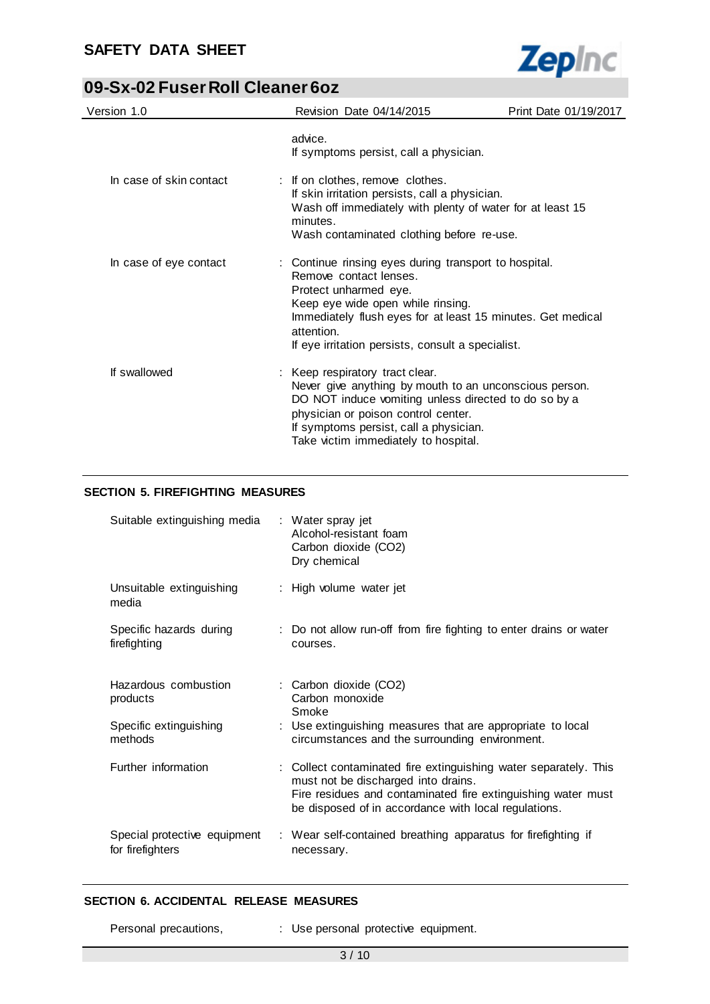

| Version 1.0             | Revision Date 04/14/2015                                                                                                                                                                                                                                                        | Print Date 01/19/2017 |
|-------------------------|---------------------------------------------------------------------------------------------------------------------------------------------------------------------------------------------------------------------------------------------------------------------------------|-----------------------|
|                         | advice.<br>If symptoms persist, call a physician.                                                                                                                                                                                                                               |                       |
| In case of skin contact | : If on clothes, remove clothes.<br>If skin irritation persists, call a physician.<br>Wash off immediately with plenty of water for at least 15<br>minutes.<br>Wash contaminated clothing before re-use.                                                                        |                       |
| In case of eye contact  | : Continue rinsing eyes during transport to hospital.<br>Remove contact lenses.<br>Protect unharmed eye.<br>Keep eye wide open while rinsing.<br>Immediately flush eyes for at least 15 minutes. Get medical<br>attention.<br>If eye irritation persists, consult a specialist. |                       |
| If swallowed            | : Keep respiratory tract clear.<br>Never give anything by mouth to an unconscious person.<br>DO NOT induce vomiting unless directed to do so by a<br>physician or poison control center.<br>If symptoms persist, call a physician.<br>Take victim immediately to hospital.      |                       |

# **SECTION 5. FIREFIGHTING MEASURES**

| Suitable extinguishing media : Water spray jet                        | Alcohol-resistant foam<br>Carbon dioxide (CO2)<br>Dry chemical                                                                                                                                                                  |
|-----------------------------------------------------------------------|---------------------------------------------------------------------------------------------------------------------------------------------------------------------------------------------------------------------------------|
| Unsuitable extinguishing<br>media                                     | : High volume water jet                                                                                                                                                                                                         |
| Specific hazards during<br>firefighting                               | : Do not allow run-off from fire fighting to enter drains or water<br>courses.                                                                                                                                                  |
| Hazardous combustion<br>products<br>Specific extinguishing<br>methods | : Carbon dioxide (CO2)<br>Carbon monoxide<br>Smoke<br>: Use extinguishing measures that are appropriate to local<br>circumstances and the surrounding environment.                                                              |
| Further information                                                   | : Collect contaminated fire extinguishing water separately. This<br>must not be discharged into drains.<br>Fire residues and contaminated fire extinguishing water must<br>be disposed of in accordance with local regulations. |
| Special protective equipment<br>for firefighters                      | : Wear self-contained breathing apparatus for firefighting if<br>necessary.                                                                                                                                                     |

### **SECTION 6. ACCIDENTAL RELEASE MEASURES**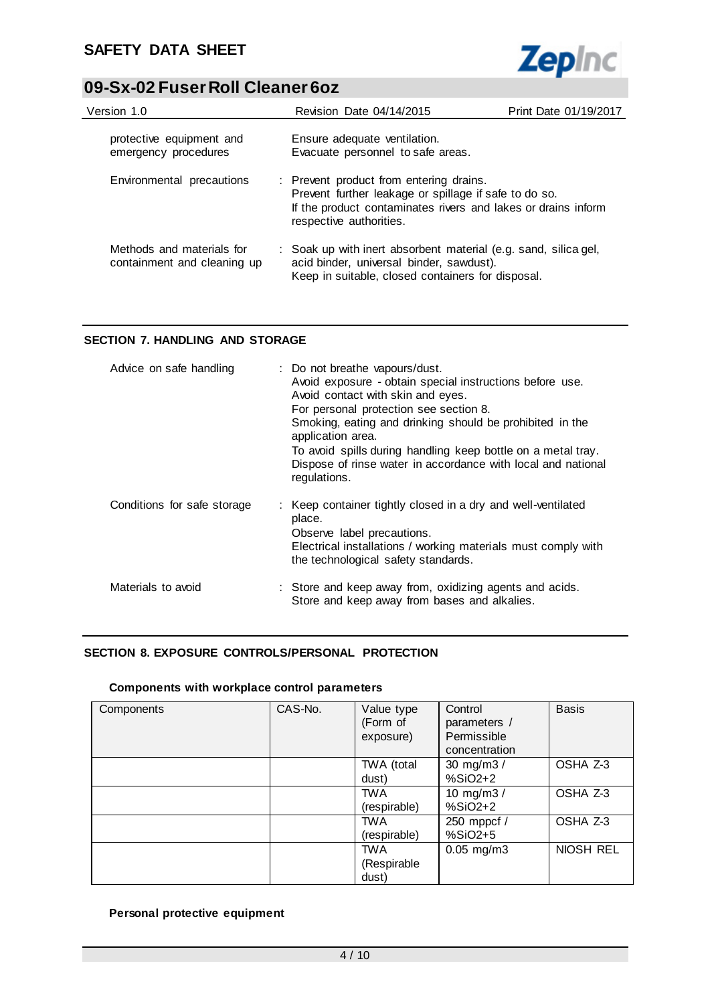

| Version 1.0                                              | Revision Date 04/14/2015                                                                                                                                         | Print Date 01/19/2017                                                                                                                                             |  |  |  |
|----------------------------------------------------------|------------------------------------------------------------------------------------------------------------------------------------------------------------------|-------------------------------------------------------------------------------------------------------------------------------------------------------------------|--|--|--|
| protective equipment and<br>emergency procedures         | Ensure adequate ventilation.<br>Evacuate personnel to safe areas.                                                                                                |                                                                                                                                                                   |  |  |  |
| Environmental precautions                                | respective authorities.                                                                                                                                          | : Prevent product from entering drains.<br>Prevent further leakage or spillage if safe to do so.<br>If the product contaminates rivers and lakes or drains inform |  |  |  |
| Methods and materials for<br>containment and cleaning up | : Soak up with inert absorbent material (e.g. sand, silica gel,<br>acid binder, universal binder, sawdust).<br>Keep in suitable, closed containers for disposal. |                                                                                                                                                                   |  |  |  |

# **SECTION 7. HANDLING AND STORAGE**

| Advice on safe handling     | : Do not breathe vapours/dust.<br>Avoid exposure - obtain special instructions before use.<br>Avoid contact with skin and eyes.<br>For personal protection see section 8.<br>Smoking, eating and drinking should be prohibited in the<br>application area.<br>To avoid spills during handling keep bottle on a metal tray.<br>Dispose of rinse water in accordance with local and national<br>regulations. |
|-----------------------------|------------------------------------------------------------------------------------------------------------------------------------------------------------------------------------------------------------------------------------------------------------------------------------------------------------------------------------------------------------------------------------------------------------|
| Conditions for safe storage | : Keep container tightly closed in a dry and well-ventilated<br>place.<br>Observe label precautions.<br>Electrical installations / working materials must comply with<br>the technological safety standards.                                                                                                                                                                                               |
| Materials to avoid          | : Store and keep away from, oxidizing agents and acids.<br>Store and keep away from bases and alkalies.                                                                                                                                                                                                                                                                                                    |

# **SECTION 8. EXPOSURE CONTROLS/PERSONAL PROTECTION**

# **Components with workplace control parameters**

| Components | CAS-No. | Value type<br>(Form of<br>exposure) | Control<br>parameters /<br>Permissible<br>concentration | <b>Basis</b> |
|------------|---------|-------------------------------------|---------------------------------------------------------|--------------|
|            |         | TWA (total<br>dust)                 | 30 mg/m3 /<br>$%SiO2+2$                                 | OSHA Z-3     |
|            |         | <b>TWA</b><br>(respirable)          | 10 mg/m $3/$<br>%SiO2+2                                 | OSHA Z-3     |
|            |         | <b>TWA</b><br>(respirable)          | 250 mppcf /<br>$%SiO2+5$                                | OSHA Z-3     |
|            |         | <b>TWA</b><br>(Respirable<br>dust)  | $0.05$ mg/m $3$                                         | NIOSH REL    |

# **Personal protective equipment**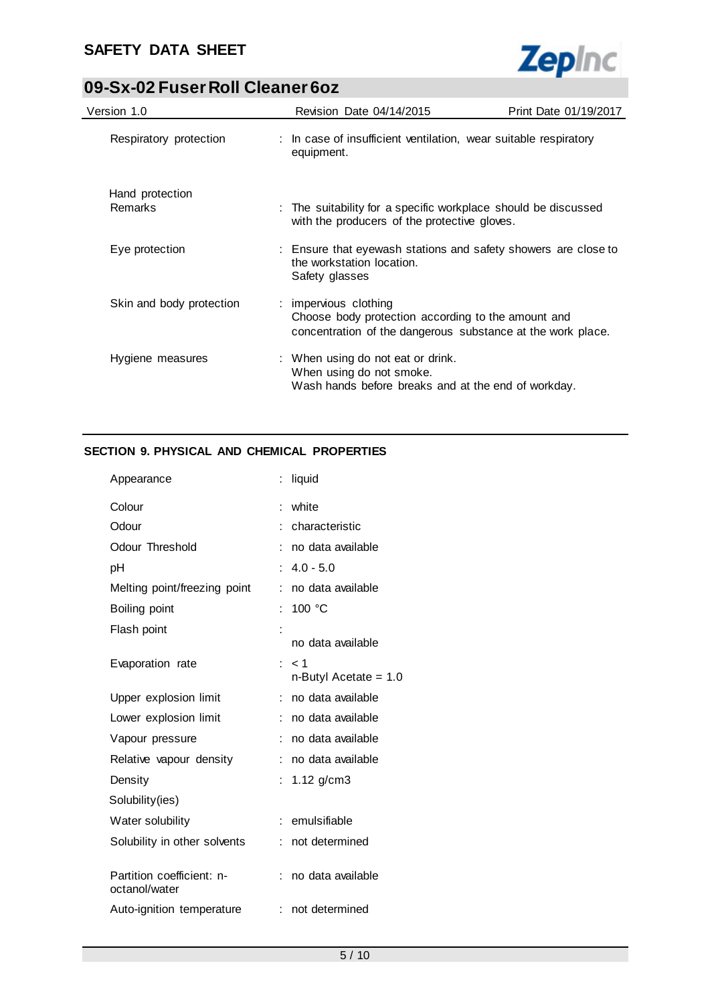

| Version 1.0                       | Revision Date 04/14/2015                                      | Print Date 01/19/2017                                                                                             |
|-----------------------------------|---------------------------------------------------------------|-------------------------------------------------------------------------------------------------------------------|
| Respiratory protection            | equipment.                                                    | : In case of insufficient ventilation, wear suitable respiratory                                                  |
| Hand protection<br><b>Remarks</b> | with the producers of the protective gloves.                  | : The suitability for a specific workplace should be discussed                                                    |
| Eye protection                    | the workstation location.<br>Safety glasses                   | : Ensure that eyewash stations and safety showers are close to                                                    |
| Skin and body protection          | : impervious clothing                                         | Choose body protection according to the amount and<br>concentration of the dangerous substance at the work place. |
| Hygiene measures                  | : When using do not eat or drink.<br>When using do not smoke. | Wash hands before breaks and at the end of workday.                                                               |

# **SECTION 9. PHYSICAL AND CHEMICAL PROPERTIES**

| Appearance                                 | liquid                       |
|--------------------------------------------|------------------------------|
| Colour                                     | white<br>÷                   |
| Odour                                      | characteristic               |
| Odour Threshold                            | no data available            |
| рH                                         | $4.0 - 5.0$                  |
| Melting point/freezing point               | no data available<br>÷       |
| Boiling point                              | 100 °C<br>t                  |
| Flash point                                | no data available            |
| Evaporation rate                           | < 1<br>n-Butyl Acetate = 1.0 |
| Upper explosion limit                      | no data available            |
| Lower explosion limit                      | no data available            |
| Vapour pressure                            | no data available            |
| Relative vapour density                    | no data available            |
| Density                                    | $1.12$ g/cm3<br>t.           |
| Solubility(ies)                            |                              |
| Water solubility                           | emulsifiable<br>÷            |
| Solubility in other solvents               | not determined               |
| Partition coefficient: n-<br>octanol/water | no data available<br>÷       |
| Auto-ignition temperature                  | not determined<br>÷          |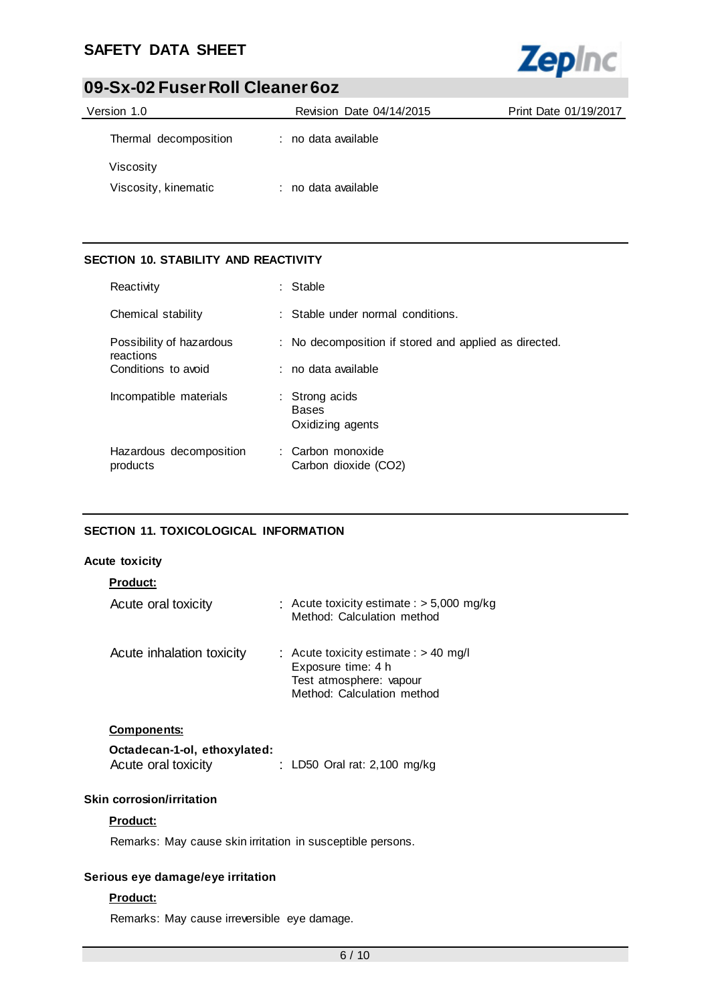# **SAFETY DATA SHEET**



# **09-Sx-02 Fuser Roll Cleaner 6oz**

| Version 1.0           | Revision Date 04/14/2015 | Print Date 01/19/2017 |
|-----------------------|--------------------------|-----------------------|
| Thermal decomposition | : no data available      |                       |
| Viscosity             |                          |                       |
| Viscosity, kinematic  | : no data available      |                       |

# **SECTION 10. STABILITY AND REACTIVITY**

| Reactivity                            | : Stable                                              |
|---------------------------------------|-------------------------------------------------------|
| Chemical stability                    | : Stable under normal conditions.                     |
| Possibility of hazardous<br>reactions | : No decomposition if stored and applied as directed. |
| Conditions to avoid                   | : no data available                                   |
| Incompatible materials                | : Strong acids<br><b>Bases</b><br>Oxidizing agents    |
| Hazardous decomposition<br>products   | : Carbon monoxide<br>Carbon dioxide (CO2)             |

### **SECTION 11. TOXICOLOGICAL INFORMATION**

### **Acute toxicity**

| <b>Product:</b>                                     |                                                                                                                        |
|-----------------------------------------------------|------------------------------------------------------------------------------------------------------------------------|
| Acute oral toxicity                                 | : Acute toxicity estimate : $>$ 5,000 mg/kg<br>Method: Calculation method                                              |
| Acute inhalation toxicity                           | : Acute toxicity estimate : $> 40$ mg/l<br>Exposure time: 4 h<br>Test atmosphere: vapour<br>Method: Calculation method |
| <b>Components:</b>                                  |                                                                                                                        |
| Octadecan-1-ol, ethoxylated:<br>Acute oral toxicity | LD50 Oral rat: $2,100$ mg/kg                                                                                           |

### **Skin corrosion/irritation**

# **Product:**

Remarks: May cause skin irritation in susceptible persons.

# **Serious eye damage/eye irritation**

# **Product:**

Remarks: May cause irreversible eye damage.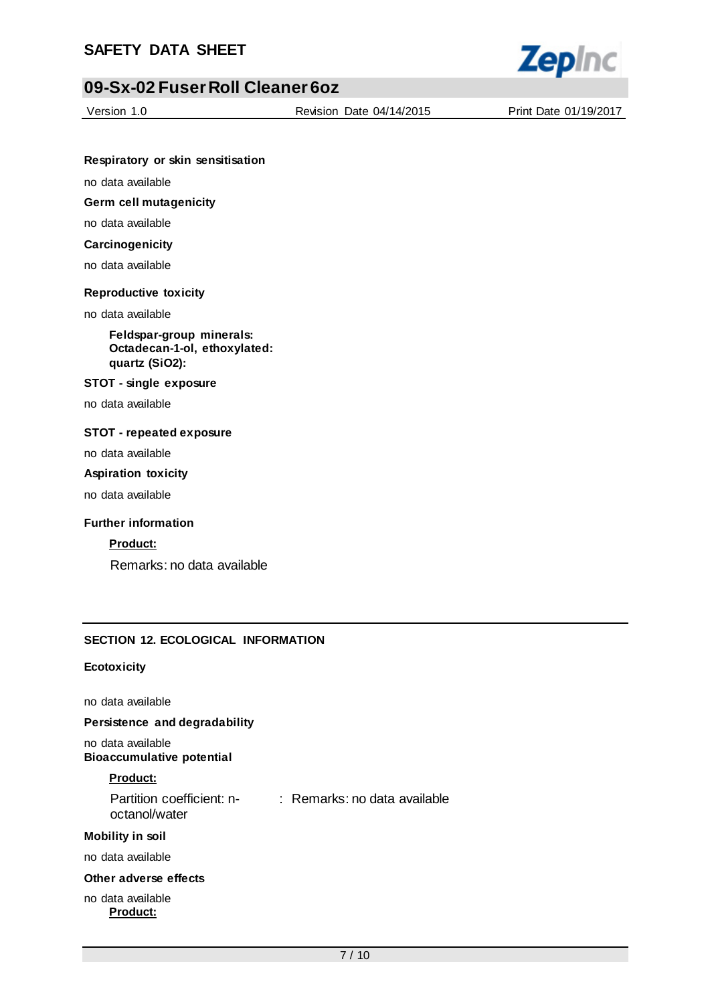

Version 1.0 Revision Date 04/14/2015 Print Date 01/19/2017

#### **Respiratory or skin sensitisation**

no data available

# **Germ cell mutagenicity**

no data available

# **Carcinogenicity**

no data available

### **Reproductive toxicity**

no data available

**Feldspar-group minerals: Octadecan-1-ol, ethoxylated: quartz (SiO2):**

#### **STOT - single exposure**

no data available

### **STOT - repeated exposure**

no data available

#### **Aspiration toxicity**

no data available

#### **Further information**

### **Product:**

Remarks: no data available

### **SECTION 12. ECOLOGICAL INFORMATION**

### **Ecotoxicity**

no data available

### **Persistence and degradability**

no data available **Bioaccumulative potential**

#### **Product:**

| Partition coefficient: n- | : Remarks: no data available |
|---------------------------|------------------------------|
| octanol/water             |                              |

#### **Mobility in soil**

no data available

### **Other adverse effects**

#### no data available **Product:**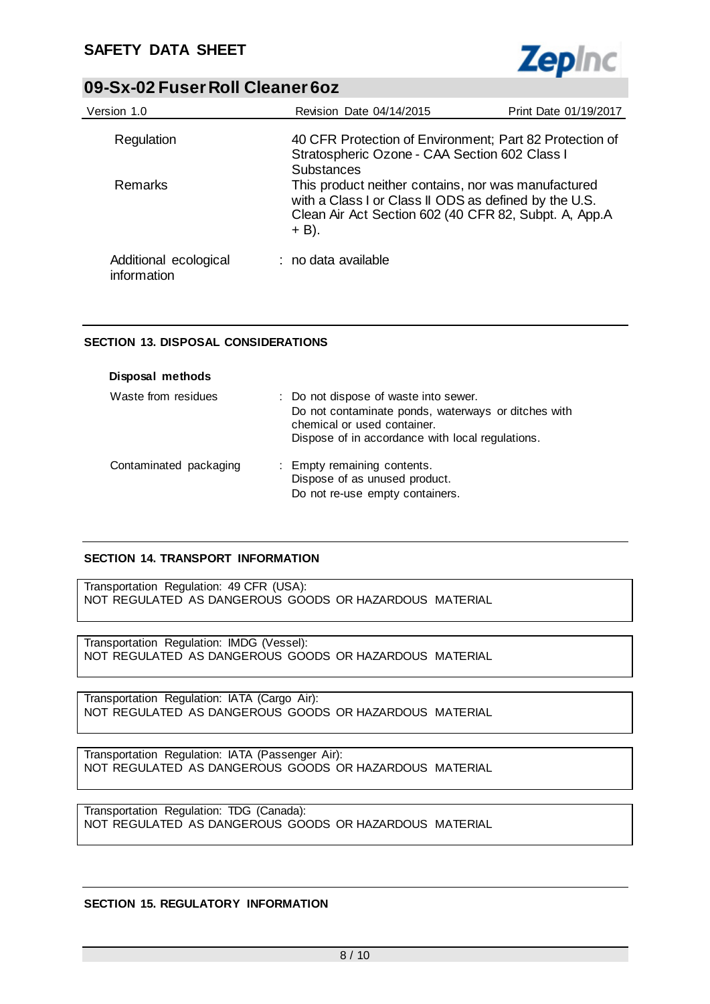

| Version 1.0                          | Revision Date 04/14/2015                                                                                                                                                                              | Print Date 01/19/2017 |  |
|--------------------------------------|-------------------------------------------------------------------------------------------------------------------------------------------------------------------------------------------------------|-----------------------|--|
| Regulation                           | 40 CFR Protection of Environment; Part 82 Protection of<br>Stratospheric Ozone - CAA Section 602 Class I                                                                                              |                       |  |
| Remarks                              | <b>Substances</b><br>This product neither contains, nor was manufactured<br>with a Class I or Class II ODS as defined by the U.S.<br>Clean Air Act Section 602 (40 CFR 82, Subpt. A, App.A<br>$+$ B). |                       |  |
| Additional ecological<br>information | : no data available                                                                                                                                                                                   |                       |  |

# **SECTION 13. DISPOSAL CONSIDERATIONS**

| Disposal methods       |                                                                                                                                                                                 |
|------------------------|---------------------------------------------------------------------------------------------------------------------------------------------------------------------------------|
| Waste from residues    | : Do not dispose of waste into sewer.<br>Do not contaminate ponds, waterways or ditches with<br>chemical or used container.<br>Dispose of in accordance with local regulations. |
| Contaminated packaging | : Empty remaining contents.<br>Dispose of as unused product.<br>Do not re-use empty containers.                                                                                 |

# **SECTION 14. TRANSPORT INFORMATION**

Transportation Regulation: 49 CFR (USA): NOT REGULATED AS DANGEROUS GOODS OR HAZARDOUS MATERIAL

Transportation Regulation: IMDG (Vessel): NOT REGULATED AS DANGEROUS GOODS OR HAZARDOUS MATERIAL

Transportation Regulation: IATA (Cargo Air): NOT REGULATED AS DANGEROUS GOODS OR HAZARDOUS MATERIAL

Transportation Regulation: IATA (Passenger Air): NOT REGULATED AS DANGEROUS GOODS OR HAZARDOUS MATERIAL

Transportation Regulation: TDG (Canada): NOT REGULATED AS DANGEROUS GOODS OR HAZARDOUS MATERIAL

### **SECTION 15. REGULATORY INFORMATION**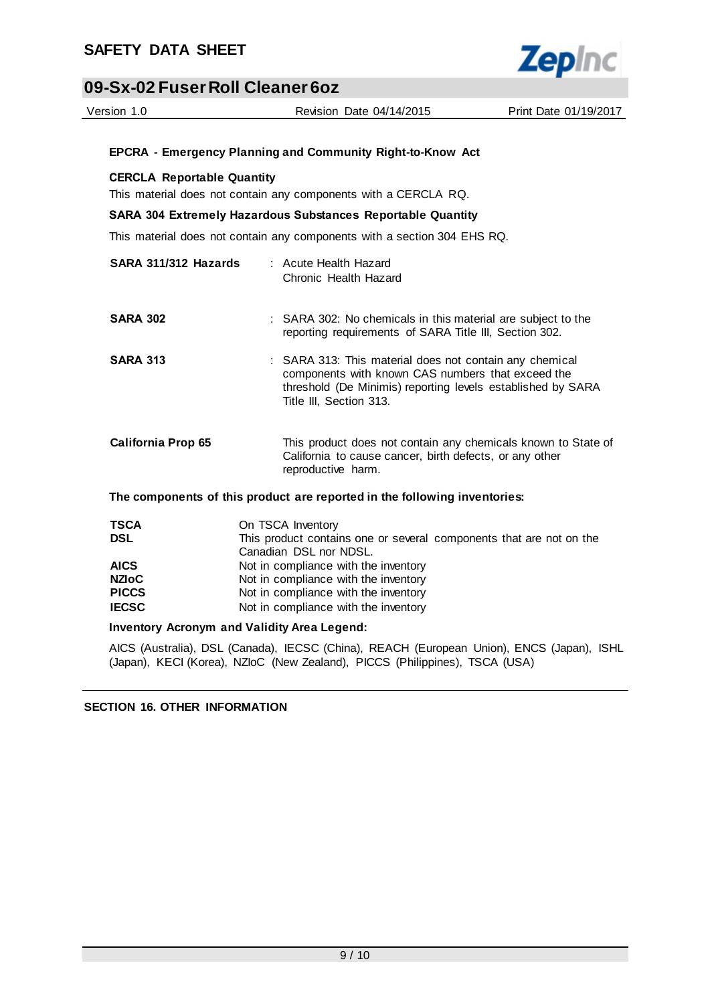

| 09-Sx-02 Fuser Roll Cleaner 6oz   |                   |                                                                                                                                                                                                        |                       |
|-----------------------------------|-------------------|--------------------------------------------------------------------------------------------------------------------------------------------------------------------------------------------------------|-----------------------|
| Version 1.0                       |                   | Revision Date 04/14/2015                                                                                                                                                                               | Print Date 01/19/2017 |
|                                   |                   |                                                                                                                                                                                                        |                       |
|                                   |                   | <b>EPCRA - Emergency Planning and Community Right-to-Know Act</b>                                                                                                                                      |                       |
| <b>CERCLA Reportable Quantity</b> |                   |                                                                                                                                                                                                        |                       |
|                                   |                   | This material does not contain any components with a CERCLA RQ.                                                                                                                                        |                       |
|                                   |                   | <b>SARA 304 Extremely Hazardous Substances Reportable Quantity</b>                                                                                                                                     |                       |
|                                   |                   | This material does not contain any components with a section 304 EHS RQ.                                                                                                                               |                       |
| SARA 311/312 Hazards              |                   | : Acute Health Hazard<br>Chronic Health Hazard                                                                                                                                                         |                       |
| <b>SARA 302</b>                   |                   | : SARA 302: No chemicals in this material are subject to the<br>reporting requirements of SARA Title III, Section 302.                                                                                 |                       |
| <b>SARA 313</b>                   |                   | : SARA 313: This material does not contain any chemical<br>components with known CAS numbers that exceed the<br>threshold (De Minimis) reporting levels established by SARA<br>Title III, Section 313. |                       |
| <b>California Prop 65</b>         |                   | This product does not contain any chemicals known to State of<br>California to cause cancer, birth defects, or any other<br>reproductive harm.                                                         |                       |
|                                   |                   | The components of this product are reported in the following inventories:                                                                                                                              |                       |
| <b>TSCA</b><br><b>DSL</b>         | On TSCA Inventory | This product contains one or several components that are not on the                                                                                                                                    |                       |

| 1958         | UIL IUUM IIIVUIKUIV                                                 |
|--------------|---------------------------------------------------------------------|
| <b>DSL</b>   | This product contains one or several components that are not on the |
|              | Canadian DSL nor NDSL.                                              |
| <b>AICS</b>  | Not in compliance with the inventory                                |
| <b>NZIOC</b> | Not in compliance with the inventory                                |
| <b>PICCS</b> | Not in compliance with the inventory                                |
| <b>IECSC</b> | Not in compliance with the inventory                                |
|              |                                                                     |

### **Inventory Acronym and Validity Area Legend:**

AICS (Australia), DSL (Canada), IECSC (China), REACH (European Union), ENCS (Japan), ISHL (Japan), KECI (Korea), NZIoC (New Zealand), PICCS (Philippines), TSCA (USA)

**SECTION 16. OTHER INFORMATION**